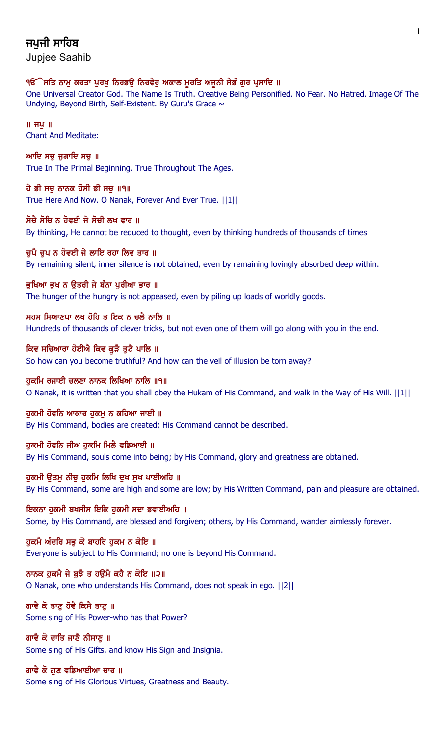# ਜਪਜੀ ਸਾਹਿਬ

Jupjee Saahib

## ੧ੳੱੇਸਤਿ ਨਾਮ ਕਰਤਾ ਪਰਖ ਨਿਰਭੳ ਨਿਰਵੈਰ ਅਕਾਲ ਮੁਰਤਿ ਅਜਨੀ ਸੈਭੰ ਗਰ ਪੁਸਾਦਿ ॥

One Universal Creator God. The Name Is Truth. Creative Being Personified. No Fear. No Hatred. Image Of The Undying, Beyond Birth, Self-Existent. By Guru's Grace  $\sim$ 

 $\parallel$  ਜਪੁ $\parallel$ Chant And Meditate:

ਆਦਿ ਸਚ ਜਗਾਦਿ ਸਚ $\parallel$ True In The Primal Beginning. True Throughout The Ages.

ਹੈ ਭੀ ਸਚੂ ਨਾਨਕ ਹੋਸੀ ਭੀ ਸਚੂ ॥੧॥ True Here And Now. O Nanak, Forever And Ever True. ||1||

### ਸੋਚੈ ਸੋਚਿ ਨ ਹੋਵਈ ਜੇ ਸੋਚੀ ਲਖ ਵਾਰ ॥

By thinking, He cannot be reduced to thought, even by thinking hundreds of thousands of times.

### ਚਪੈ ਚਪ ਨ ਹੋਵਈ ਜੇ ਲਾਇ ਰਹਾ ਲਿਵ ਤਾਰ ॥

By remaining silent, inner silence is not obtained, even by remaining lovingly absorbed deep within.

## ਭੁਖਿਆ ਭੁਖ ਨ ਉਤਰੀ ਜੇ ਬੰਨਾ ਪੁਰੀਆ ਭਾਰ ॥

The hunger of the hungry is not appeased, even by piling up loads of worldly goods.

## ਸਹਸ ਸਿਆਣਪਾ ਲਖ ਹੋਹਿ ਤ ਇਕ ਨ ਚਲੈ ਨਾਲਿ ॥

Hundreds of thousands of clever tricks, but not even one of them will go along with you in the end.

# ਕਿਵ ਸਚਿਆਰਾ ਹੋਈਐ ਕਿਵ ਕੁੜੈ ਤੁਟੈ ਪਾਲਿ ॥

So how can you become truthful? And how can the veil of illusion be torn away?

## ਹੁਕਮਿ ਰਜਾਈ ਚਲਣਾ ਨਾਨਕ ਲਿਖਿਆ ਨਾਲਿ ॥੧॥

O Nanak, it is written that you shall obey the Hukam of His Command, and walk in the Way of His Will. ||1||

### ਹੁਕਮੀ ਹੋਵਨਿ ਆਕਾਰ ਹੁਕਮੁ ਨ ਕਹਿਆ ਜਾਈ ॥

By His Command, bodies are created; His Command cannot be described.

## ਹਕਮੀ ਹੋਵਨਿ ਜੀਅ ਹਕਮਿ ਮਿਲੈ ਵਡਿਆਈ ॥

By His Command, souls come into being; by His Command, glory and greatness are obtained.

# ਹੁਕਮੀ ਉਤਮੁ ਨੀਚੁ ਹੁਕਮਿ ਲਿਖਿ ਦੁਖ ਸੁਖ ਪਾਈਅਹਿ ॥

By His Command, some are high and some are low; by His Written Command, pain and pleasure are obtained.

# ਇਕਨਾ ਹਕਮੀ ਬਖਸੀਸ ਇਕਿ ਹਕਮੀ ਸਦਾ ਭਵਾਈਅਹਿ ॥

Some, by His Command, are blessed and forgiven; others, by His Command, wander aimlessly forever.

## ਹਕਮੈ ਅੰਦਰਿ ਸਭ ਕੋ ਬਾਹਰਿ ਹਕਮ ਨ ਕੋਇ ॥

Everyone is subject to His Command; no one is beyond His Command.

## ਨਾਨਕ ਹੁਕਮੈ ਜੇ ਬੂਝੈ ਤ ਹਉਮੈ ਕਹੈ ਨ ਕੋਇ ॥੨॥

O Nanak, one who understands His Command, does not speak in ego. ||2||

# ਗਾਵੈ ਕੋ ਤਾਣ ਹੋਵੈ ਕਿਸੈ ਤਾਣ ॥

Some sing of His Power-who has that Power?

## ਗਾਵੈ ਕੋ ਦਾਤਿ ਜਾਣੈ ਨੀਸਾਣ ॥ Some sing of His Gifts, and know His Sign and Insignia.

## ਗਾਵੈ ਕੋ ਗੁਣ ਵਡਿਆਈਆ ਚਾਰ ॥

Some sing of His Glorious Virtues, Greatness and Beauty.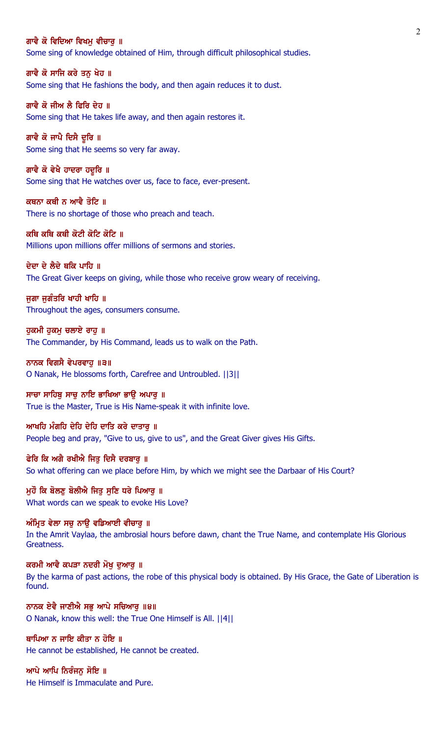#### ਗਾਵੈ ਕੋ ਵਿਦਿਆ ਵਿਖਮ ਵੀਚਾਰ ॥

Some sing of knowledge obtained of Him, through difficult philosophical studies.

ਗਾਵੈ ਕੋ ਸਾਜਿ ਕਰੇ ਤਨ ਖੇਹ ॥ Some sing that He fashions the body, and then again reduces it to dust.

ਗਾਵੈ ਕੋ ਜੀਅ ਲੈ ਫਿਰਿ ਦੇਹ ॥ Some sing that He takes life away, and then again restores it.

ਗਾਵੈ ਕੋ ਜਾਪੈ ਦਿਸੈ ਦੁਰਿ ॥ Some sing that He seems so very far away.

ਗਾਵੈ ਕੋ ਵੇਖੈ ਹਾਦਰਾ ਹਦੁਰਿ ॥ Some sing that He watches over us, face to face, ever-present.

ਕਥਨਾ ਕਥੀ ਨ ਆਵੈ ਤੋਟਿ ॥ There is no shortage of those who preach and teach.

ਕਥਿ ਕਥਿ ਕਥੀ ਕੋਟੀ ਕੋਟਿ ਕੋਟਿ ॥ Millions upon millions offer millions of sermons and stories.

ਦੇਦਾ ਦੇ ਲੈਦੇ ਥਕਿ ਪਾਹਿ ॥

The Great Giver keeps on giving, while those who receive grow weary of receiving.

ਜੁਗਾ ਜੁਗੰਤਰਿ ਖਾਹੀ ਖਾਹਿ ॥ Throughout the ages, consumers consume.

ਹਕਮੀ ਹਕਮ ਚਲਾਏ ਰਾਹ ॥ The Commander, by His Command, leads us to walk on the Path.

ਨਾਨਕ ਵਿਗਸੈ ਵੇਪਰਵਾਹੁ ॥੩॥ O Nanak, He blossoms forth, Carefree and Untroubled. ||3||

ਸਾਚਾ ਸਾਹਿਬੁ ਸਾਚੁ ਨਾਇ ਭਾਖਿਆ ਭਾਉ ਅਪਾਰੁ ॥ True is the Master, True is His Name-speak it with infinite love.

ਆਖਹਿ ਮੰਗਹਿ ਦੇਹਿ ਦੇਹਿ ਦਾਤਿ ਕਰੇ ਦਾਤਾਰ ॥ People beg and pray, "Give to us, give to us", and the Great Giver gives His Gifts.

ਫੇਰਿ ਕਿ ਅਗੈ ਰਖੀਐ ਜਿਤੂ ਦਿਸੈ ਦਰਬਾਰੂ ॥ So what offering can we place before Him, by which we might see the Darbaar of His Court?

ਮਹੌ ਕਿ ਬੋਲਣ ਬੋਲੀਐ ਜਿਤ ਸਣਿ ਧਰੇ ਪਿਆਰ ॥ What words can we speak to evoke His Love?

ਅੰਮ੍ਰਿਤ ਵੇਲਾ ਸਚੁ ਨਾਉ ਵਡਿਆਈ ਵੀਚਾਰੁ ॥ In the Amrit Vaylaa, the ambrosial hours before dawn, chant the True Name, and contemplate His Glorious Greatness.

ਕਰਮੀ ਆਵੈ ਕਪੜਾ ਨਦਰੀ ਮੋਖ ਦਆਰ ॥ By the karma of past actions, the robe of this physical body is obtained. By His Grace, the Gate of Liberation is found.

ਨਾਨਕ ਏਵੈ ਜਾਣੀਐ ਸਭੁ ਆਪੇ ਸਚਿਆਰੁ ॥੪॥ O Nanak, know this well: the True One Himself is All. ||4||

ਥਾਪਿਆ ਨ ਜਾਇ ਕੀਤਾ ਨ ਹੋਇ ॥ He cannot be established, He cannot be created.

ਆਪੇ ਆਪਿ ਨਿਰੰਜਨੁ ਸੋਇ ॥ He Himself is Immaculate and Pure.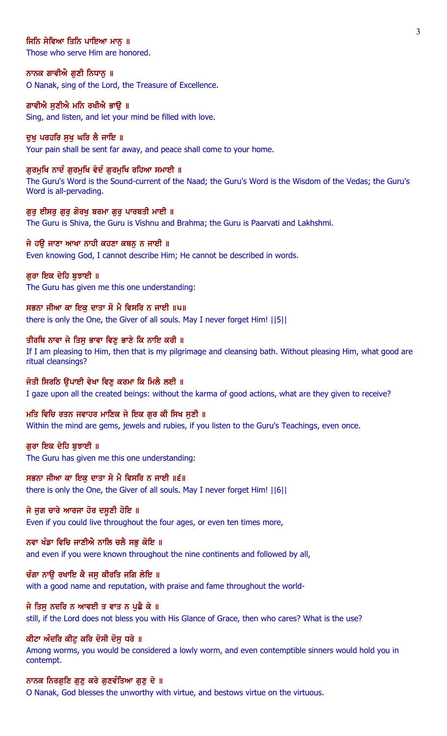### ਜਿਨਿ ਸੇਵਿਆ ਤਿਨਿ ਪਾਇਆ ਮਾਨ ॥

Those who serve Him are honored.

### ਨਾਨਕ ਗਾਵੀਐ ਗੁਣੀ ਨਿਧਾਨੂ ॥

O Nanak, sing of the Lord, the Treasure of Excellence.

#### ਗਾਵੀਐ ਸਣੀਐ ਮਨਿ ਰਖੀਐ ਭਾੳ ॥

Sing, and listen, and let your mind be filled with love.

#### ਦਖ ਪਰਹਰਿ ਸਖ ਘਰਿ ਲੈ ਜਾਇ ॥

Your pain shall be sent far away, and peace shall come to your home.

### ਗੁਰਮੁਖਿ ਨਾਦੰ ਗੁਰਮੁਖਿ ਵੇਦੰ ਗੁਰਮੁਖਿ ਰਹਿਆ ਸਮਾਈ ॥

The Guru's Word is the Sound-current of the Naad; the Guru's Word is the Wisdom of the Vedas; the Guru's Word is all-pervading.

#### ਗੁਰੂ ਈਸਰੂ ਗੁਰੂ ਗੋਰਖੂ ਬਰਮਾ ਗੁਰੂ ਪਾਰਬਤੀ ਮਾਈ ॥

The Guru is Shiva, the Guru is Vishnu and Brahma; the Guru is Paarvati and Lakhshmi.

### ਜੇ ਹਉ ਜਾਣਾ ਆਖਾ ਨਾਹੀ ਕਹਣਾ ਕਥਨੂ ਨ ਜਾਈ ॥

Even knowing God, I cannot describe Him; He cannot be described in words.

### ਗਰਾ ਇਕ ਦੇਹਿ ਬਝਾਈ ॥

The Guru has given me this one understanding:

### ਸਭਨਾ ਜੀਆ ਕਾ ਇਕੁ ਦਾਤਾ ਸੋ ਮੈ ਵਿਸਰਿ ਨ ਜਾਈ ॥੫॥

there is only the One, the Giver of all souls. May I never forget Him! ||5||

### ਤੀਰਥਿ ਨਾਵਾ ਜੇ ਤਿਸੁ ਭਾਵਾ ਵਿਣੁ ਭਾਣੇ ਕਿ ਨਾਇ ਕਰੀ ॥

If I am pleasing to Him, then that is my pilgrimage and cleansing bath. Without pleasing Him, what good are ritual cleansings?

### ਜੇਤੀ ਸਿਰਠਿ ੳਪਾਈ ਵੇਖਾ ਵਿਣ ਕਰਮਾ ਕਿ ਮਿਲੈ ਲਈ ॥

I gaze upon all the created beings: without the karma of good actions, what are they given to receive?

#### ਮਤਿ ਵਿਚਿ ਰਤਨ ਜਵਾਹਰ ਮਾਣਿਕ ਜੇ ਇਕ ਗੁਰ ਕੀ ਸਿਖ ਸੁਣੀ ॥

Within the mind are gems, jewels and rubies, if you listen to the Guru's Teachings, even once.

#### ਗੁਰਾ ਇਕ ਦੇਹਿ ਬੁਝਾਈ ॥

The Guru has given me this one understanding:

## ਸਭਨਾ ਜੀਆ ਕਾ ਇਕ ਦਾਤਾ ਸੋ ਮੈ ਵਿਸਰਿ ਨ ਜਾਈ ॥੬॥

there is only the One, the Giver of all souls. May I never forget Him! ||6||

### ਜੇ ਜੁਗ ਚਾਰੇ ਆਰਜਾ ਹੋਰ ਦਸੂਣੀ ਹੋਇ ॥

Even if you could live throughout the four ages, or even ten times more,

#### ਨਵਾ ਖੰਡਾ ਵਿਚਿ ਜਾਣੀਐ ਨਾਲਿ ਚਲੈ ਸਭ ਕੋਇ ॥

and even if you were known throughout the nine continents and followed by all,

## ਚੰਗਾ ਨਾੳ ਰਖਾਇ ਕੈ ਜਸ ਕੀਰਤਿ ਜਗਿ ਲੇਇ ॥

with a good name and reputation, with praise and fame throughout the world-

### ਜੇ ਤਿਸੁ ਨਦਰਿ ਨ ਆਵਈ ਤ ਵਾਤ ਨ ਪੁਛੈ ਕੇ ॥

still, if the Lord does not bless you with His Glance of Grace, then who cares? What is the use?

#### ਕੀਟਾ ਅੰਦਰਿ ਕੀਟ ਕਰਿ ਦੋਸੀ ਦੋਸ ਧਰੇ ॥

Among worms, you would be considered a lowly worm, and even contemptible sinners would hold you in contempt.

### ਨਾਨਕ ਨਿਰਗੁਣਿ ਗੁਣੁ ਕਰੇ ਗੁਣਵੰਤਿਆ ਗੁਣੁ ਦੇ ॥

O Nanak, God blesses the unworthy with virtue, and bestows virtue on the virtuous.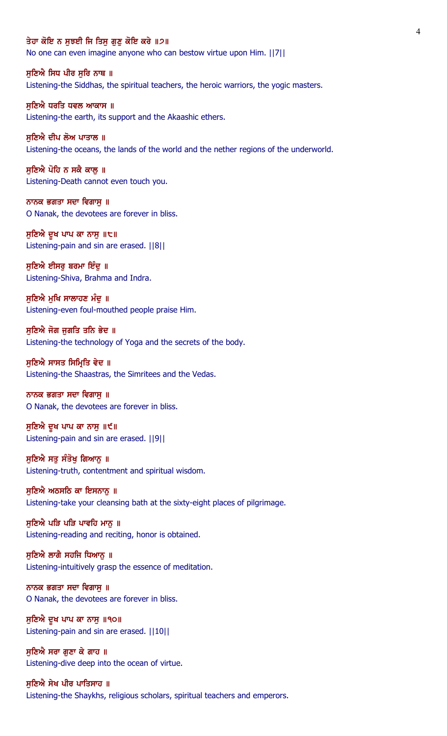#### ਤੇਹਾ ਕੋਇ ਨ ਸਝਈ ਜਿ ਤਿਸ ਗਣ ਕੋਇ ਕਰੇ ॥੭॥

No one can even imagine anyone who can bestow virtue upon Him. ||7||

ਸੁਣਿਐ ਸਿਧ ਪੀਰ ਸੁਰਿ ਨਾਥ ॥ Listening-the Siddhas, the spiritual teachers, the heroic warriors, the yogic masters.

ਸਣਿਐ ਧਰਤਿ ਧਵਲ ਆਕਾਸ ॥ Listening-the earth, its support and the Akaashic ethers.

ਸਣਿਐ ਦੀਪ ਲੋਅ ਪਾਤਾਲ ॥ Listening-the oceans, the lands of the world and the nether regions of the underworld.

ਸੁਣਿਐ ਪੋਹਿ ਨ ਸਕੈ ਕਾਲੂ ॥ Listening-Death cannot even touch you.

ਨਾਨਕ ਭਗਤਾ ਸਦਾ ਵਿਗਾਸੁ ॥ O Nanak, the devotees are forever in bliss.

ਸੁਣਿਐ ਦੁਖ ਪਾਪ ਕਾ ਨਾਸੁ ॥੮॥ Listening-pain and sin are erased. ||8||

ਸੁਣਿਐ ਈਸਰੂ ਬਰਮਾ ਇੰਦੂ ॥ Listening-Shiva, Brahma and Indra.

ਸੁਣਿਐ ਮੁਖਿ ਸਾਲਾਹਣ ਮੰਦੂ ॥ Listening-even foul-mouthed people praise Him.

ਸੁਣਿਐ ਜੋਗ ਜੁਗਤਿ ਤਨਿ ਭੇਦ ॥ Listening-the technology of Yoga and the secrets of the body.

ਸੁਣਿਐ ਸਾਸਤ ਸਿਮ੍ਰਿਤਿ ਵੇਦ ॥ Listening-the Shaastras, the Simritees and the Vedas.

ਨਾਨਕ ਭਗਤਾ ਸਦਾ ਵਿਗਾਸ ॥ O Nanak, the devotees are forever in bliss.

ਸੁਣਿਐ ਦੁਖ ਪਾਪ ਕਾ ਨਾਸੁ ॥੯॥ Listening-pain and sin are erased. ||9||

ਸੁਣਿਐ ਸਤੂ ਸੰਤੋਖੂ ਗਿਆਨੂ ॥ Listening-truth, contentment and spiritual wisdom.

ਸਣਿਐ ਅਠਸਠਿ ਕਾ ਇਸਨਾਨ ॥ Listening-take your cleansing bath at the sixty-eight places of pilgrimage.

ਸੁਣਿਐ ਪੜਿ ਪੜਿ ਪਾਵਹਿ ਮਾਨੂ ॥ Listening-reading and reciting, honor is obtained.

ਸੁਣਿਐ ਲਾਗੈ ਸਹਜਿ ਧਿਆਨੂ ॥ Listening-intuitively grasp the essence of meditation.

ਨਾਨਕ ਭਗਤਾ ਸਦਾ ਵਿਗਾਸ ॥ O Nanak, the devotees are forever in bliss.

ਸੁਣਿਐ ਦੁਖ ਪਾਪ ਕਾ ਨਾਸੁ ॥੧੦॥ Listening-pain and sin are erased. ||10||

ਸੁਣਿਐ ਸਰਾ ਗੁਣਾ ਕੇ ਗਾਹ ॥ Listening-dive deep into the ocean of virtue.

ਸੁਣਿਐ ਸੇਖ ਪੀਰ ਪਾਤਿਸਾਹ ॥ Listening-the Shaykhs, religious scholars, spiritual teachers and emperors.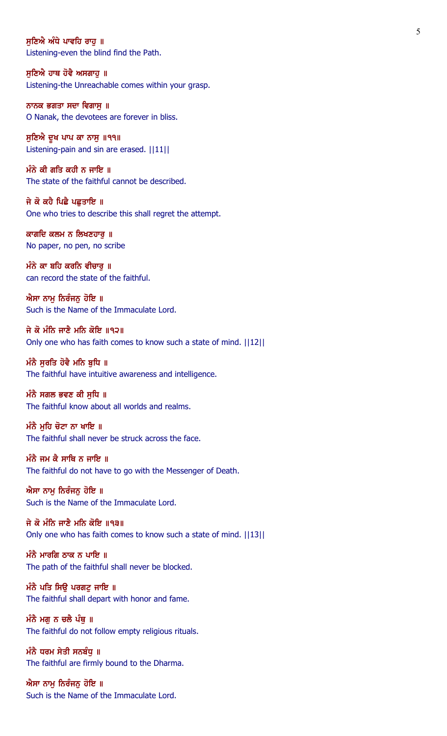ਸਣਿਐ ਅੰਧੇ ਪਾਵਹਿ ਰਾਹ ॥ Listening-even the blind find the Path.

ਸੁਣਿਐ ਹਾਥ ਹੋਵੈ ਅਸਗਾਹੁ ॥ Listening-the Unreachable comes within your grasp.

ਨਾਨਕ ਭਗਤਾ ਸਦਾ ਵਿਗਾਸੁ ॥ O Nanak, the devotees are forever in bliss.

ਸੁਣਿਐ ਦੁਖ ਪਾਪ ਕਾ ਨਾਸੁ ॥੧੧॥ Listening-pain and sin are erased. ||11||

ਮੰਨੇ ਕੀ ਗਤਿ ਕਹੀ ਨ ਜਾਇ ॥ The state of the faithful cannot be described.

ਜੇ ਕੋ ਕਹੈ ਪਿਛੈ ਪਛਤਾਇ ॥ One who tries to describe this shall regret the attempt.

ਕਾਗਦਿ ਕਲਮ ਨ ਲਿਖਣਹਾਰੁ ॥ No paper, no pen, no scribe

ਮੰਨੇ ਕਾ ਬਹਿ ਕਰਨਿ ਵੀਚਾਰੁ ॥ can record the state of the faithful.

ਐਸਾ ਨਾਮੂ ਨਿਰੰਜਨੂ ਹੋਇ ॥ Such is the Name of the Immaculate Lord.

ਜੇ ਕੋ ਮੰਨਿ ਜਾਣੈ ਮਨਿ ਕੋਇ ॥੧੨॥ Only one who has faith comes to know such a state of mind. ||12||

ਮੰਨੈ ਸੂਰਤਿ ਹੋਵੈ ਮਨਿ ਬੁਧਿ ॥ The faithful have intuitive awareness and intelligence.

ਮੰਨੈ ਸਗਲ ਭਵਣ ਕੀ ਸੁਧਿ ॥ The faithful know about all worlds and realms.

ਮੰਨੈ ਮਹਿ ਚੋਟਾ ਨਾ ਖਾਇ ॥ The faithful shall never be struck across the face.

ਮੰਨੈ ਜਮ ਕੈ ਸਾਥਿ ਨ ਜਾਇ ॥ The faithful do not have to go with the Messenger of Death.

ਐਸਾ ਨਾਮ ਨਿਰੰਜਨ ਹੋਇ ॥ Such is the Name of the Immaculate Lord.

ਜੇ ਕੋ ਮੰਨਿ ਜਾਣੈ ਮਨਿ ਕੋਇ ॥੧੩॥ Only one who has faith comes to know such a state of mind. ||13||

ਮੰਨੈ ਮਾਰਗਿ ਠਾਕ ਨ ਪਾਇ ॥ The path of the faithful shall never be blocked.

ਮੰਨੈ ਪਤਿ ਸਿਉ ਪਰਗਟੁ ਜਾਇ ॥ The faithful shall depart with honor and fame.

ਮੰਨੈ ਮਗੂ ਨ ਚਲੈ ਪੰਥੂ ॥ The faithful do not follow empty religious rituals.

ਮੰਨੈ ਧਰਮ ਸੇਤੀ ਸਨਬੰਧੁ ॥ The faithful are firmly bound to the Dharma.

ਐਸਾ ਨਾਮੂ ਨਿਰੰਜਨੂ ਹੋਇ ॥ Such is the Name of the Immaculate Lord.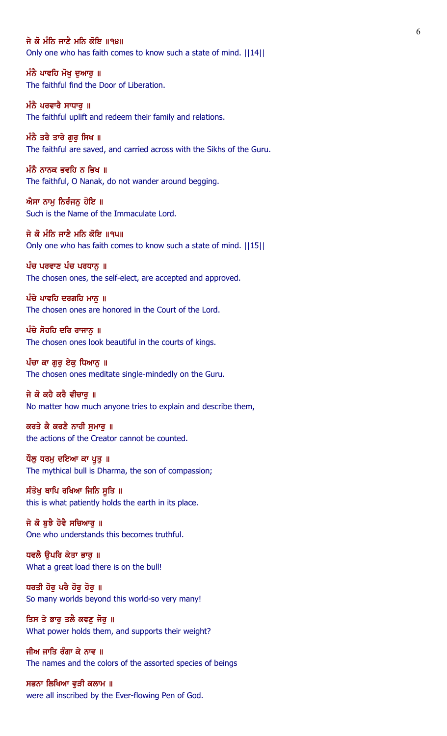ਜੇ ਕੋ ਮੰਨਿ ਜਾਣੈ ਮਨਿ ਕੋਇ ॥੧੪॥ Only one who has faith comes to know such a state of mind. ||14||

ਮੰਨੈ ਪਾਵਹਿ ਮੋਖ ਦੁਆਰੂ ॥ The faithful find the Door of Liberation.

ਮੰਨੈ ਪਰਵਾਰੈ ਸਾਧਾਰ **॥** The faithful uplift and redeem their family and relations.

ਮੰਨੈ ਤਰੈ ਤਾਰੇ ਗਰ ਸਿਖ ॥ The faithful are saved, and carried across with the Sikhs of the Guru.

ਮੰਨੈ ਨਾਨਕ ਭਵਹਿ ਨ ਭਿਖ ॥ The faithful, O Nanak, do not wander around begging.

ਐਸਾ ਨਾਮੂ ਨਿਰੰਜਨੂ ਹੋਇ ॥ Such is the Name of the Immaculate Lord.

ਜੇ ਕੋ ਮੰਨਿ ਜਾਣੈ ਮਨਿ ਕੋਇ ॥੧੫॥ Only one who has faith comes to know such a state of mind. ||15||

ਪੰਚ ਪਰਵਾਣ ਪੰਚ ਪਰਧਾਨੂ ॥ The chosen ones, the self-elect, are accepted and approved.

ਪੰਚੇ ਪਾਵਹਿ ਦਰਗਹਿ ਮਾਨੂ ॥ The chosen ones are honored in the Court of the Lord.

 $\hat{u}$ ਚੇ ਸੋਹਹਿ ਦਰਿ ਰਾਜਾਨ ॥ The chosen ones look beautiful in the courts of kings.

ਪੰਚਾ ਕਾ ਗੁਰੂ ਏਕੂ ਧਿਆਨੂ ॥ The chosen ones meditate single-mindedly on the Guru.

ਜੇ ਕੋ ਕਹੈ ਕਰੈ ਵੀਚਾਰੂ ॥ No matter how much anyone tries to explain and describe them,

ਕਰਤੇ ਕੈ ਕਰਣੈ ਨਾਹੀ ਸਮਾਰ ॥ the actions of the Creator cannot be counted.

ਧੌਲੂ ਧਰਮੂ ਦਇਆ ਕਾ ਪੁਤੁ ॥ The mythical bull is Dharma, the son of compassion;

ਸੰਤੋਖੁ ਥਾਪਿ ਰਖਿਆ ਜਿਨਿ ਸੁਤਿ ॥ this is what patiently holds the earth in its place.

ਜੇ ਕੋ ਬੁਝੈ ਹੋਵੈ ਸਚਿਆਰੁ ॥ One who understands this becomes truthful.

ਧਵਲੈ ਉਪਰਿ ਕੇਤਾ ਭਾਰੂ ॥ What a great load there is on the bull!

ਧਰਤੀ ਹੋਰੂ ਪਰੈ ਹੋਰੂ ਹੋਰੂ ॥ So many worlds beyond this world-so very many!

ਤਿਸ ਤੇ ਭਾਰੂ ਤਲੈ ਕਵਣੂ ਜੋਰੂ ॥ What power holds them, and supports their weight?

ਜੀਅ ਜਾਤਿ ਰੰਗਾ ਕੇ ਨਾਵ ॥ The names and the colors of the assorted species of beings

ਸਭਨਾ ਲਿਖਿਆ ਵੁੜੀ ਕਲਾਮ ॥ were all inscribed by the Ever-flowing Pen of God.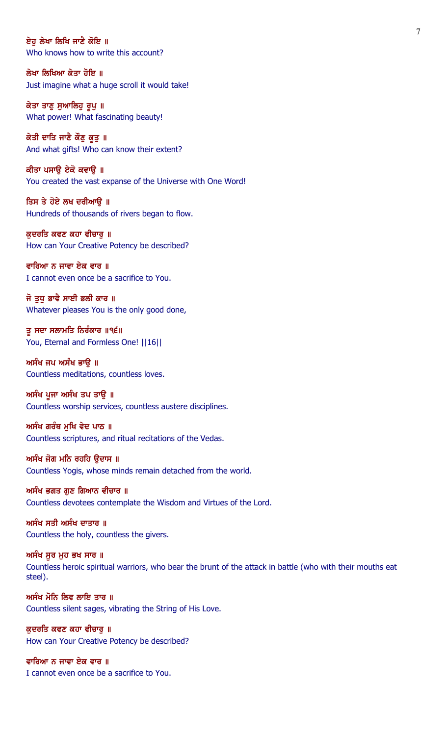ਏਹ ਲੇਖਾ ਲਿਖਿ ਜਾਣੈ ਕੋਇ ॥ Who knows how to write this account?

ਲੇਖਾ ਲਿਖਿਆ ਕੇਤਾ ਹੋਇ ॥ Just imagine what a huge scroll it would take!

ਕੇਤਾ ਤਾਣੂ ਸੁਆਲਿਹੂ ਰੂਪੂ ॥ What power! What fascinating beauty!

ਕੇਤੀ ਦਾਤਿ ਜਾਣੈ ਕੌਣੁ ਕੁਤੁ ॥ And what gifts! Who can know their extent?

ਕੀਤਾ ਪਸਾਉ ਏਕੋ ਕਵਾਉ ॥ You created the vast expanse of the Universe with One Word!

ਤਿਸ ਤੇ ਹੋਏ ਲਖ ਦਰੀਆਉ ॥ Hundreds of thousands of rivers began to flow.

ਕੁਦਰਤਿ ਕਵਣ ਕਹਾ ਵੀਚਾਰੁ ॥ How can Your Creative Potency be described?

ਵਾਰਿਆ ਨ ਜਾਵਾ ਏਕ ਵਾਰ ॥ I cannot even once be a sacrifice to You.

ਜੋ ਤੁਧੁ ਭਾਵੈ ਸਾਈ ਭਲੀ ਕਾਰ ॥ Whatever pleases You is the only good done,

ਤੂ ਸਦਾ ਸਲਾਮਤਿ ਨਿਰੰਕਾਰ ॥੧੬॥ You, Eternal and Formless One! ||16||

ਅਸੰਖ ਜਪ ਅਸੰਖ ਭਾਉ ॥ Countless meditations, countless loves.

ਅਸੰਖ ਪੂਜਾ ਅਸੰਖ ਤਪ ਤਾੳ ॥ Countless worship services, countless austere disciplines.

ਅਸੰਖ ਗਰੰਥ ਮਖਿ ਵੇਦ ਪਾਠ ॥ Countless scriptures, and ritual recitations of the Vedas.

ਅਸੰਖ ਜੋਗ ਮਨਿ ਰਹਹਿ ਉਦਾਸ ॥ Countless Yogis, whose minds remain detached from the world.

ਅਸੰਖ ਭਗਤ ਗਣ ਗਿਆਨ ਵੀਚਾਰ ॥ Countless devotees contemplate the Wisdom and Virtues of the Lord.

ਅਸੰਖ ਸਤੀ ਅਸੰਖ ਦਾਤਾਰ ॥ Countless the holy, countless the givers.

ਅਸੰਖ ਸੁਰ ਮੁਹ ਭਖ ਸਾਰ ॥ Countless heroic spiritual warriors, who bear the brunt of the attack in battle (who with their mouths eat steel).

ਅਸੰਖ ਮੋਨਿ ਲਿਵ ਲਾਇ ਤਾਰ ॥ Countless silent sages, vibrating the String of His Love.

ਕੁਦਰਤਿ ਕਵਣ ਕਹਾ ਵੀਚਾਰੂ ॥ How can Your Creative Potency be described?

ਵਾਰਿਆ ਨ ਜਾਵਾ ਏਕ ਵਾਰ ॥ I cannot even once be a sacrifice to You.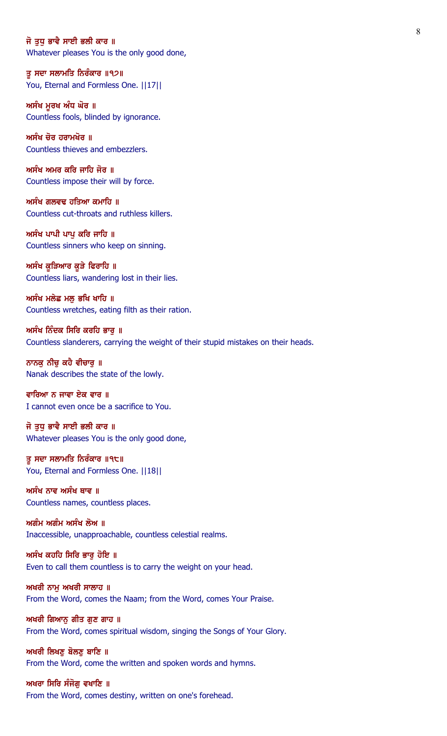### ਜੋ ਤਧ ਭਾਵੈ ਸਾਈ ਭਲੀ ਕਾਰ ॥

Whatever pleases You is the only good done,

ਤੂ ਸਦਾ ਸਲਾਮਤਿ ਨਿਰੰਕਾਰ ॥੧੭॥ You, Eternal and Formless One. ||17||

ਅਸੰਖ ਮੁਰਖ ਅੰਧ ਘੋਰ ॥ Countless fools, blinded by ignorance.

ਅਸੰਖ ਚੋਰ ਹਰਾਮਖੋਰ ॥ Countless thieves and embezzlers.

ਅਸੰਖ ਅਮਰ ਕਰਿ ਜਾਹਿ ਜੋਰ ॥ Countless impose their will by force.

ਅਸੰਖ ਗਲਵਢ ਹਤਿਆ ਕਮਾਹਿ ॥ Countless cut-throats and ruthless killers.

ਅਸੰਖ ਪਾਪੀ ਪਾਪ ਕਰਿ ਜਾਹਿ ॥ Countless sinners who keep on sinning.

ਅਸੰਖ ਕੁੜਿਆਰ ਕੁੜੇ ਫਿਰਾਹਿ ॥ Countless liars, wandering lost in their lies.

ਅਸੰਖ ਮਲੇਛ ਮਲੂ ਭਖਿ ਖਾਹਿ ॥ Countless wretches, eating filth as their ration.

ਅਸੰਖ ਨਿੰਦਕ ਸਿਰਿ ਕਰਹਿ ਭਾਰੂ ॥ Countless slanderers, carrying the weight of their stupid mistakes on their heads.

ਨਾਨਕੁ ਨੀਚੁ ਕਹੈ ਵੀਚਾਰੁ ॥ Nanak describes the state of the lowly.

ਵਾਰਿਆ ਨ ਜਾਵਾ ਏਕ ਵਾਰ ॥ I cannot even once be a sacrifice to You.

ਜੋ ਤਧ ਭਾਵੈ ਸਾਈ ਭਲੀ ਕਾਰ ॥ Whatever pleases You is the only good done,

ਤੂ ਸਦਾ ਸਲਾਮਤਿ ਨਿਰੰਕਾਰ ॥੧੮॥ You, Eternal and Formless One. ||18||

ਅਸੰਖ ਨਾਵ ਅਸੰਖ ਥਾਵ ॥ Countless names, countless places.

ਅਗੰਮ ਅਗੰਮ ਅਸੰਖ ਲੋਅ ॥ Inaccessible, unapproachable, countless celestial realms.

ਅਸੰਖ ਕਹਹਿ ਸਿਰਿ ਭਾਰੂ ਹੋਇ ॥ Even to call them countless is to carry the weight on your head.

ਅਖਰੀ ਨਾਮ ਅਖਰੀ ਸਾਲਾਹ ॥ From the Word, comes the Naam; from the Word, comes Your Praise.

ਅਖਰੀ ਗਿਆਨੂ ਗੀਤ ਗੁਣ ਗਾਹ ॥ From the Word, comes spiritual wisdom, singing the Songs of Your Glory.

ਅਖਰੀ ਲਿਖਣੂ ਬੋਲਣੂ ਬਾਣਿ ॥ From the Word, come the written and spoken words and hymns.

ਅਖਰਾ ਸਿਰਿ ਸੰਜੋਗ ਵਖਾਣਿ ॥ From the Word, comes destiny, written on one's forehead.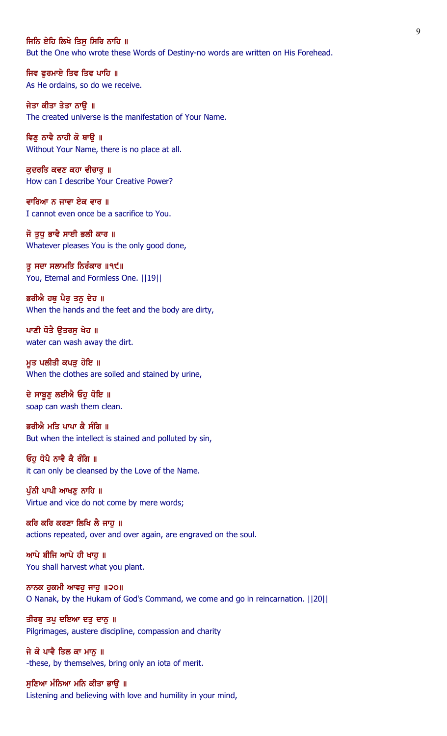#### ਜਿਨਿ ਏਹਿ ਲਿਖੇ ਤਿਸ ਸਿਰਿ ਨਾਹਿ ॥

But the One who wrote these Words of Destiny-no words are written on His Forehead.

ਜਿਵ ਫੁਰਮਾਏ ਤਿਵ ਤਿਵ ਪਾਹਿ ॥ As He ordains, so do we receive.

ਜੇਤਾ ਕੀਤਾ ਤੇਤਾ ਨਾੳ ॥ The created universe is the manifestation of Your Name.

ਵਿਣ ਨਾਵੈ ਨਾਹੀ ਕੋ ਥਾੳ ॥ Without Your Name, there is no place at all.

ਕੁਦਰਤਿ ਕਵਣ ਕਹਾ ਵੀਚਾਰੁ ॥ How can I describe Your Creative Power?

ਵਾਰਿਆ ਨ ਜਾਵਾ ਏਕ ਵਾਰ ॥ I cannot even once be a sacrifice to You.

ਜੋ ਤੁਧੁ ਭਾਵੈ ਸਾਈ ਭਲੀ ਕਾਰ ॥ Whatever pleases You is the only good done,

ਤੂ ਸਦਾ ਸਲਾਮਤਿ ਨਿਰੰਕਾਰ ॥੧੯॥ You, Eternal and Formless One. ||19||

ਭਰੀਐ ਹਥੂ ਪੈਰੂ ਤਨੂ ਦੇਹ ॥ When the hands and the feet and the body are dirty,

ਪਾਣੀ ਧੋਤੈ ਉਤਰਸੁ ਖੇਹ ॥ water can wash away the dirt.

ਮੁਤ ਪਲੀਤੀ ਕਪੜੂ ਹੋਇ ॥ When the clothes are soiled and stained by urine,

ਦੇ ਸਾਬੁਣੂ ਲਈਐ ਓਹੁ ਧੋਇ ॥ soap can wash them clean.

ਭਰੀਐ ਮਤਿ ਪਾਪਾ ਕੈ ਸੰਗਿ ॥ But when the intellect is stained and polluted by sin,

ਓਹੁ ਧੋਪੈ ਨਾਵੈ ਕੈ ਰੰਗਿ ॥ it can only be cleansed by the Love of the Name.

ਪੰਨੀ ਪਾਪੀ ਆਖਣ ਨਾਹਿ ॥ Virtue and vice do not come by mere words;

ਕਰਿ ਕਰਿ ਕਰਣਾ ਲਿਖਿ ਲੈ ਜਾਹੁ ॥ actions repeated, over and over again, are engraved on the soul.

ਆਪੇ ਬੀਜਿ ਆਪੇ ਹੀ ਖਾਹੁ ॥ You shall harvest what you plant.

ਨਾਨਕ ਹੁਕਮੀ ਆਵਹੁ ਜਾਹੁ ॥੨੦॥ O Nanak, by the Hukam of God's Command, we come and go in reincarnation. ||20||

ਤੀਰਥੁ ਤਪੁ ਦਇਆ ਦਤੁ ਦਾਨੁ ॥ Pilgrimages, austere discipline, compassion and charity

ਜੇ ਕੋ ਪਾਵੈ ਤਿਲ ਕਾ ਮਾਨੂ ॥ -these, by themselves, bring only an iota of merit.

ਸੁਣਿਆ ਮੰਨਿਆ ਮਨਿ ਕੀਤਾ ਭਾਉ ॥ Listening and believing with love and humility in your mind,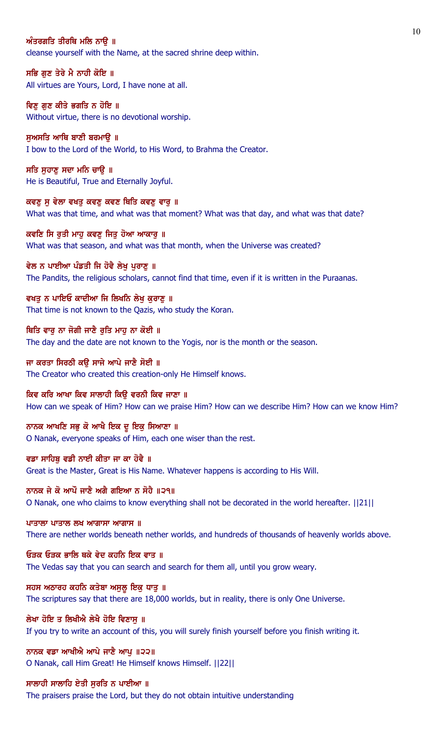## ਅੰਤਰਗਤਿ ਤੀਰਥਿ ਮਲਿ ਨਾੳ ॥

cleanse yourself with the Name, at the sacred shrine deep within.

ਸਭਿ ਗੁਣ ਤੇਰੇ ਮੈ ਨਾਹੀ ਕੋਇ ॥ All virtues are Yours, Lord, I have none at all.

ਵਿਣ ਗਣ ਕੀਤੇ ਭਗਤਿ ਨ ਹੋਇ ॥ Without virtue, there is no devotional worship.

ਸਅਸਤਿ ਆਥਿ ਬਾਣੀ ਬਰਮਾੳ ॥ I bow to the Lord of the World, to His Word, to Brahma the Creator.

ਸਤਿ ਸੁਹਾਣੂ ਸਦਾ ਮਨਿ ਚਾਉ ॥ He is Beautiful, True and Eternally Joyful.

ਕਵਣੁ ਸੁ ਵੇਲਾ ਵਖਤੁ ਕਵਣੁ ਕਵਣ ਥਿਤਿ ਕਵਣੁ ਵਾਰੁ ॥ What was that time, and what was that moment? What was that day, and what was that date?

ਕਵਣਿ ਸਿ ਰੁਤੀ ਮਾਹੂ ਕਵਣੂ ਜਿਤੂ ਹੋਆ ਆਕਾਰੂ ॥ What was that season, and what was that month, when the Universe was created?

ਵੇਲ ਨ ਪਾਈਆ ਪੰਡਤੀ ਜਿ ਹੋਵੈ ਲੇਖੂ ਪੁਰਾਣੂ ॥ The Pandits, the religious scholars, cannot find that time, even if it is written in the Puraanas.

ਵਖਤੂ ਨ ਪਾਇਓ ਕਾਦੀਆ ਜਿ ਲਿਖਨਿ ਲੇਖੂ ਕੁਰਾਣੂ ॥ That time is not known to the Qazis, who study the Koran.

ਥਿਤਿ ਵਾਰੁ ਨਾ ਜੋਗੀ ਜਾਣੈ ਰੁਤਿ ਮਾਹੁ ਨਾ ਕੋਈ ॥ The day and the date are not known to the Yogis, nor is the month or the season.

ਜਾ ਕਰਤਾ ਸਿਰਠੀ ਕਉ ਸਾਜੇ ਆਪੇ ਜਾਣੈ ਸੋਈ ॥ The Creator who created this creation-only He Himself knows.

ਕਿਵ ਕਰਿ ਆਖਾ ਕਿਵ ਸਾਲਾਹੀ ਕਿਉ ਵਰਨੀ ਕਿਵ ਜਾਣਾ ॥ How can we speak of Him? How can we praise Him? How can we describe Him? How can we know Him?

ਨਾਨਕ ਆਖਣਿ ਸਭੁ ਕੋ ਆਖੈ ਇਕ ਦੁ ਇਕੁ ਸਿਆਣਾ ॥ O Nanak, everyone speaks of Him, each one wiser than the rest.

ਵਡਾ ਸਾਹਿਬ ਵਡੀ ਨਾਈ ਕੀਤਾ ਜਾ ਕਾ ਹੋਵੈ ॥ Great is the Master, Great is His Name. Whatever happens is according to His Will.

ਨਾਨਕ ਜੇ ਕੋ ਆਪੌ ਜਾਣੈ ਅਗੈ ਗਇਆ ਨ ਸੋਹੈ ॥੨੧॥ O Nanak, one who claims to know everything shall not be decorated in the world hereafter. ||21||

ਪਾਤਾਲਾ ਪਾਤਾਲ ਲਖ ਆਗਾਸਾ ਆਗਾਸ $\parallel$ 

There are nether worlds beneath nether worlds, and hundreds of thousands of heavenly worlds above.

ਓੜਕ ਓੜਕ ਭਾਲਿ ਥਕੇ ਵੇਦ ਕਹਨਿ ਇਕ ਵਾਤ ॥ The Vedas say that you can search and search for them all, until you grow weary.

ਸਹਸ ਅਠਾਰਹ ਕਹਨਿ ਕਤੇਬਾ ਅਸੁਲੂ ਇਕੁ ਧਾਤੁ ॥ The scriptures say that there are 18,000 worlds, but in reality, there is only One Universe.

ਲੇਖਾ ਹੋਇ ਤ ਲਿਖੀਐ ਲੇਖੈ ਹੋਇ ਵਿਣਾਸ ॥ If you try to write an account of this, you will surely finish yourself before you finish writing it.

ਨਾਨਕ ਵਡਾ ਆਖੀਐ ਆਪੇ ਜਾਣੈ ਆਪੁ ॥੨੨॥ O Nanak, call Him Great! He Himself knows Himself. ||22||

ਸਾਲਾਹੀ ਸਾਲਾਹਿ ਏਤੀ ਸਰਤਿ ਨ ਪਾਈਆ ॥

The praisers praise the Lord, but they do not obtain intuitive understanding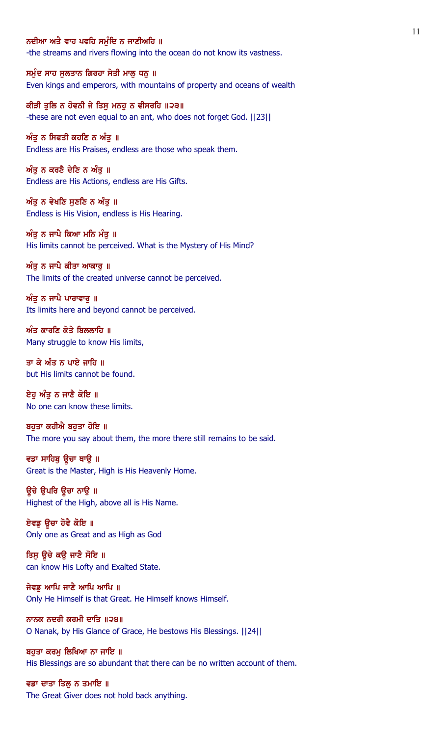### ਨਦੀਆ ਅਤੈ ਵਾਹ ਪਵਹਿ ਸਮੰਦਿ ਨ ਜਾਣੀਅਹਿ ॥

-the streams and rivers flowing into the ocean do not know its vastness.

ਸਮੁੰਦ ਸਾਹ ਸੁਲਤਾਨ ਗਿਰਹਾ ਸੇਤੀ ਮਾਲੂ ਧਨੂ ॥ Even kings and emperors, with mountains of property and oceans of wealth

ਕੀੜੀ ਤਲਿ ਨ ਹੋਵਨੀ ਜੇ ਤਿਸ ਮਨਹ ਨ ਵੀਸਰਹਿ ॥੨੩॥ -these are not even equal to an ant, who does not forget God. ||23||

ਅੰਤ ਨ ਸਿਫਤੀ ਕਹਣਿ ਨ ਅੰਤ ॥ Endless are His Praises, endless are those who speak them.

ਅੰਤੂ ਨ ਕਰਣੈ ਦੇਣਿ ਨ ਅੰਤੂ ॥ Endless are His Actions, endless are His Gifts.

ਅੰਤੂ ਨ ਵੇਖਣਿ ਸੁਣਣਿ ਨ ਅੰਤੂ ॥ Endless is His Vision, endless is His Hearing.

ਅੰਤੂ ਨ ਜਾਪੈ ਕਿਆ ਮਨਿ ਮੰਤੂ ॥ His limits cannot be perceived. What is the Mystery of His Mind?

ਅੰਤੂ ਨ ਜਾਪੈ ਕੀਤਾ ਆਕਾਰੂ ॥

The limits of the created universe cannot be perceived.

ਅੰਤੂ ਨ ਜਾਪੈ ਪਾਰਾਵਾਰੂ ॥ Its limits here and beyond cannot be perceived.

 $w$ ੰਤ ਕਾਰਣਿ ਕੇਤੇ ਬਿਲਲਾਹਿ ॥ Many struggle to know His limits,

ਤਾ ਕੇ ਅੰਤ ਨ ਪਾਏ ਜਾਹਿ ॥ but His limits cannot be found.

ਏਹੁ ਅੰਤੁ ਨ ਜਾਣੈ ਕੋਇ ॥ No one can know these limits.

ਬਹਤਾ ਕਹੀਐ ਬਹਤਾ ਹੋਇ ॥ The more you say about them, the more there still remains to be said.

ਵਡਾ ਸਾਹਿਬੂ ਉਚਾ ਥਾਉ ॥ Great is the Master, High is His Heavenly Home.

ਉਚੇ ੳਪਰਿ ਉਚਾ ਨਾੳ ॥ Highest of the High, above all is His Name.

ਏਵਡੂ ਉਚਾ ਹੋਵੈ ਕੋਇ ॥ Only one as Great and as High as God

ਤਿਸੁ ਉਚੇ ਕਉ ਜਾਣੈ ਸੋਇ ॥ can know His Lofty and Exalted State.

ਜੇਵਡੂ ਆਪਿ ਜਾਣੈ ਆਪਿ ਆਪਿ ॥ Only He Himself is that Great. He Himself knows Himself.

ਨਾਨਕ ਨਦਰੀ ਕਰਮੀ ਦਾਤਿ ॥੨੪॥ O Nanak, by His Glance of Grace, He bestows His Blessings. ||24||

ਬਹੁਤਾ ਕਰਮੂ ਲਿਖਿਆ ਨਾ ਜਾਇ ॥ His Blessings are so abundant that there can be no written account of them.

ਵਡਾ ਦਾਤਾ ਤਿਲੂ ਨ ਤਮਾਇ ॥ The Great Giver does not hold back anything.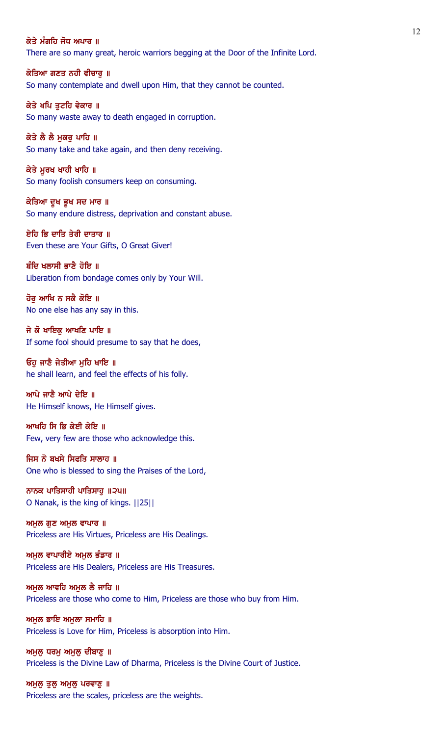## ਕੇਤੇ ਮੰਗਹਿ ਜੋਧ ਅਪਾਰ ॥

There are so many great, heroic warriors begging at the Door of the Infinite Lord.

ਕੇਤਿਆ ਗਣਤ ਨਹੀ ਵੀਚਾਰੂ ॥ So many contemplate and dwell upon Him, that they cannot be counted.

ਕੇਤੇ ਖਪਿ ਤਟਹਿ ਵੇਕਾਰ ॥ So many waste away to death engaged in corruption.

ਕੇਤੇ ਲੈ ਲੈ ਮਕਰ ਪਾਹਿ ॥ So many take and take again, and then deny receiving.

ਕੇਤੇ ਮੁਰਖ ਖਾਹੀ ਖਾਹਿ ॥ So many foolish consumers keep on consuming.

ਕੇਤਿਆ ਦੁਖ ਭੁਖ ਸਦ ਮਾਰ ॥ So many endure distress, deprivation and constant abuse.

ਏਹਿ ਭਿ ਦਾਤਿ ਤੇਰੀ ਦਾਤਾਰ ॥ Even these are Your Gifts, O Great Giver!

ਬੰਦਿ ਖਲਾਸੀ ਭਾਣੈ ਹੋਇ ॥ Liberation from bondage comes only by Your Will.

ਹੋਰ ਆਖਿ ਨ ਸਕੈ ਕੋਇ ॥ No one else has any say in this.

ਜੇ ਕੋ ਖਾਇਕ ਆਖਣਿ ਪਾਇ ॥ If some fool should presume to say that he does,

ਓਹੁ ਜਾਣੈ ਜੇਤੀਆ ਮੁਹਿ ਖਾਇ ॥ he shall learn, and feel the effects of his folly.

ਆਪੇ ਜਾਣੈ ਆਪੇ ਦੇਇ ॥ He Himself knows, He Himself gives.

ਆਖਹਿ ਸਿ ਭਿ ਕੇਈ ਕੇਇ ॥ Few, very few are those who acknowledge this.

ਜਿਸ ਨੋ ਬਖਸੇ ਸਿਫਤਿ ਸਾਲਾਹ ॥ One who is blessed to sing the Praises of the Lord,

ਨਾਨਕ ਪਾਤਿਸਾਹੀ ਪਾਤਿਸਾਹ ॥੨੫॥ O Nanak, is the king of kings. ||25||

ਅਮੁਲ ਗੁਣ ਅਮੁਲ ਵਾਪਾਰ ॥ Priceless are His Virtues, Priceless are His Dealings.

ਅਮੁਲ ਵਾਪਾਰੀਏ ਅਮੁਲ ਭੰਡਾਰ ॥ Priceless are His Dealers, Priceless are His Treasures.

ਅਮਲ ਆਵਹਿ ਅਮਲ ਲੈ ਜਾਹਿ ॥ Priceless are those who come to Him, Priceless are those who buy from Him.

ਅਮੁਲ ਭਾਇ ਅਮੁਲਾ ਸਮਾਹਿ ॥ Priceless is Love for Him, Priceless is absorption into Him.

ਅਮੁਲੂ ਧਰਮੂ ਅਮੁਲੂ ਦੀਬਾਣੂ ॥ Priceless is the Divine Law of Dharma, Priceless is the Divine Court of Justice.

ਅਮੁਲੂ ਤੁਲੂ ਅਮੁਲੂ ਪਰਵਾਣੂ **॥** Priceless are the scales, priceless are the weights.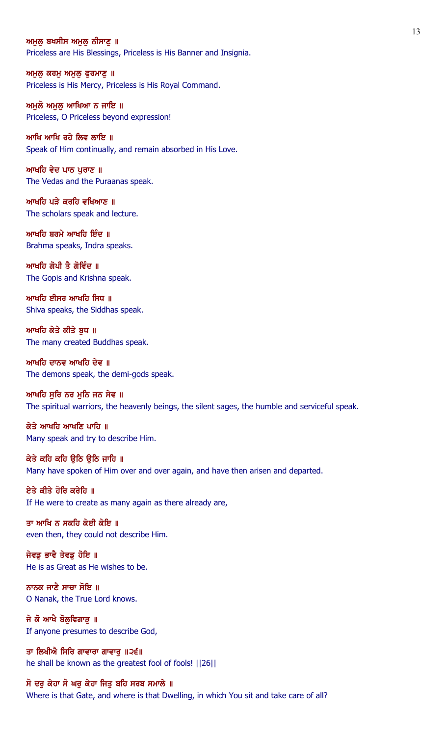#### ਅਮਲ ਬਖਸੀਸ ਅਮਲ ਨੀਸਾਣ ॥

Priceless are His Blessings, Priceless is His Banner and Insignia.

ਅਮੁਲੁ ਕਰਮੁ ਅਮੁਲੁ ਫੁਰਮਾਣੁ ॥ Priceless is His Mercy, Priceless is His Royal Command.

ਅਮਲੋ ਅਮਲ ਆਖਿਆ ਨ ਜਾਇ ॥ Priceless, O Priceless beyond expression!

ਆਖਿ ਆਖਿ ਰਹੇ ਲਿਵ ਲਾਇ ॥ Speak of Him continually, and remain absorbed in His Love.

ਆਖਹਿ ਵੇਦ ਪਾਠ ਪੁਰਾਣ ॥ The Vedas and the Puraanas speak.

ਆਖਹਿ ਪੜੇ ਕਰਹਿ ਵਖਿਆਣ ॥ The scholars speak and lecture.

ਆਖਹਿ ਬਰਮੇ ਆਖਹਿ ਇੰਦ $\parallel$ Brahma speaks, Indra speaks.

ਆਖਹਿ ਗੋਪੀ ਤੈ ਗੋਵਿੰਦ ॥ The Gopis and Krishna speak.

ਆਖਹਿ ਈਸਰ ਆਖਹਿ ਸਿਧ ॥ Shiva speaks, the Siddhas speak.

ਆਖਹਿ ਕੇਤੇ ਕੀਤੇ ਬਧ ॥ The many created Buddhas speak.

ਆਖਹਿ ਦਾਨਵ ਆਖਹਿ ਦੇਵ ॥ The demons speak, the demi-gods speak.

ਆਖਹਿ ਸੁਰਿ ਨਰ ਮੁਨਿ ਜਨ ਸੇਵ ॥ The spiritual warriors, the heavenly beings, the silent sages, the humble and serviceful speak.

ਕੇਤੇ ਆਖਹਿ ਆਖਣਿ ਪਾਹਿ ॥ Many speak and try to describe Him.

ਕੇਤੇ ਕਹਿ ਕਹਿ ਉਠਿ ਉਠਿ ਜਾਹਿ ॥ Many have spoken of Him over and over again, and have then arisen and departed.

ਏਤੇ ਕੀਤੇ ਹੋਰਿ ਕਰੇਹਿ ॥ If He were to create as many again as there already are,

ਤਾ ਆਖਿ ਨ ਸਕਹਿ ਕੇਈ ਕੇਇ ॥ even then, they could not describe Him.

ਜੇਵਡੂ ਭਾਵੈ ਤੇਵਡੂ ਹੋਇ ॥ He is as Great as He wishes to be.

ਨਾਨਕ ਜਾਣੈ ਸਾਚਾ ਸੋਇ ॥ O Nanak, the True Lord knows.

ਜੇ ਕੋ ਆਖੈ ਬੋਲੁਵਿਗਾੜੂ ॥ If anyone presumes to describe God,

ਤਾ ਲਿਖੀਐ ਸਿਰਿ ਗਾਵਾਰਾ ਗਾਵਾਰੂ ॥੨੬॥ he shall be known as the greatest fool of fools! ||26||

# ਸੋ ਦਰੁ ਕੇਹਾ ਸੋ ਘਰੁ ਕੇਹਾ ਜਿਤੁ ਬਹਿ ਸਰਬ ਸਮਾਲੇ ॥

Where is that Gate, and where is that Dwelling, in which You sit and take care of all?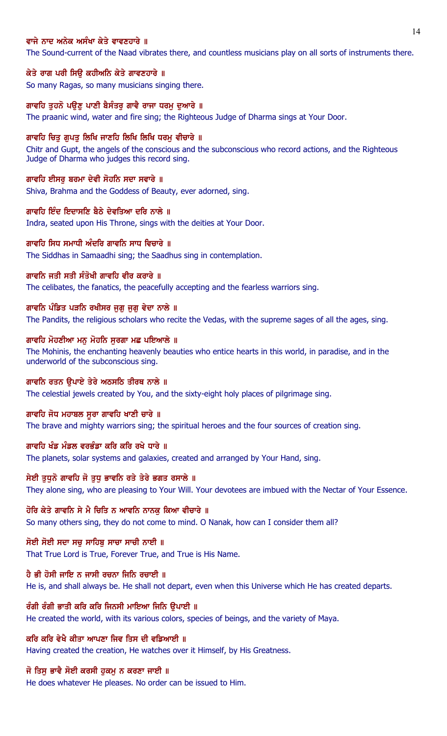## ਵਾਜੇ ਨਾਦ ਅਨੇਕ ਅਸੰਖਾ ਕੇਤੇ ਵਾਵਣਹਾਰੇ ॥

The Sound-current of the Naad vibrates there, and countless musicians play on all sorts of instruments there.

#### ਕੇਤੇ ਰਾਗ ਪਰੀ ਸਿਉ ਕਹੀਅਨਿ ਕੇਤੇ ਗਾਵਣਹਾਰੇ ॥

So many Ragas, so many musicians singing there.

### ਗਾਵਹਿ ਤਹਨੋ ਪੳਣ ਪਾਣੀ ਬੈਸੰਤਰ ਗਾਵੈ ਰਾਜਾ ਧਰਮ ਦਆਰੇ ॥

The praanic wind, water and fire sing; the Righteous Judge of Dharma sings at Your Door.

#### ਗਾਵਹਿ ਚਿਤ ਗਪਤ ਲਿਖਿ ਜਾਣਹਿ ਲਿਖਿ ਲਿਖਿ ਧਰਮ ਵੀਚਾਰੇ ॥

Chitr and Gupt, the angels of the conscious and the subconscious who record actions, and the Righteous Judge of Dharma who judges this record sing.

#### ਗਾਵਹਿ ਈਸਰ ਬਰਮਾ ਦੇਵੀ ਸੋਹਨਿ ਸਦਾ ਸਵਾਰੇ ॥

Shiva, Brahma and the Goddess of Beauty, ever adorned, sing.

#### ਗਾਵਹਿ ਇੰਦ ਇਦਾਸਣਿ ਬੈਠੇ ਦੇਵਤਿਆ ਦਰਿ ਨਾਲੇ ॥

Indra, seated upon His Throne, sings with the deities at Your Door.

## ਗਾਵਹਿ ਸਿਧ ਸਮਾਧੀ ਅੰਦਰਿ ਗਾਵਨਿ ਸਾਧ ਵਿਚਾਰੇ ॥

The Siddhas in Samaadhi sing; the Saadhus sing in contemplation.

### ਗਾਵਨਿ ਜਤੀ ਸਤੀ ਸੰਤੋਖੀ ਗਾਵਹਿ ਵੀਰ ਕਰਾਰੇ ॥

The celibates, the fanatics, the peacefully accepting and the fearless warriors sing.

#### ਗਾਵਨਿ ਪੰਡਿਤ ਪੜਨਿ ਰਖੀਸਰ ਜੁਗੁ ਜੁਗੁ ਵੇਦਾ ਨਾਲੇ ॥

The Pandits, the religious scholars who recite the Vedas, with the supreme sages of all the ages, sing.

### ਗਾਵਹਿ ਮੋਹਣੀਆ ਮਨੁ ਮੋਹਨਿ ਸੁਰਗਾ ਮਛ ਪਇਆਲੇ ॥

The Mohinis, the enchanting heavenly beauties who entice hearts in this world, in paradise, and in the underworld of the subconscious sing.

# ਗਾਵਨਿ ਰਤਨ ਉਪਾਏ ਤੇਰੇ ਅਠਸਠਿ ਤੀਰਥ ਨਾਲੇ ॥

The celestial jewels created by You, and the sixty-eight holy places of pilgrimage sing.

#### ਗਾਵਹਿ ਜੋਧ ਮਹਾਬਲ ਸੂਰਾ ਗਾਵਹਿ ਖਾਣੀ ਚਾਰੇ ॥

The brave and mighty warriors sing; the spiritual heroes and the four sources of creation sing.

### ਗਾਵਹਿ ਖੰਡ ਮੰਡਲ ਵਰਭੰਡਾ ਕਰਿ ਕਰਿ ਰਖੇ ਧਾਰੇ ॥

The planets, solar systems and galaxies, created and arranged by Your Hand, sing.

## ਸੇਈ ਤਧਨੋ ਗਾਵਹਿ ਜੋ ਤਧ ਭਾਵਨਿ ਰਤੇ ਤੇਰੇ ਭਗਤ ਰਸਾਲੇ ॥

They alone sing, who are pleasing to Your Will. Your devotees are imbued with the Nectar of Your Essence.

### ਹੋਰਿ ਕੇਤੇ ਗਾਵਨਿ ਸੇ ਮੈ ਚਿਤਿ ਨ ਆਵਨਿ ਨਾਨਕੂ ਕਿਆ ਵੀਚਾਰੇ ॥

So many others sing, they do not come to mind. O Nanak, how can I consider them all?

#### ਸੋਈ ਸੋਈ ਸਦਾ ਸਚ ਸਾਹਿਬ ਸਾਚਾ ਸਾਚੀ ਨਾਈ ॥

That True Lord is True, Forever True, and True is His Name.

### ਹੈ ਭੀ ਹੋਸੀ ਜਾਇ ਨ ਜਾਸੀ ਰਚਨਾ ਜਿਨਿ ਰਚਾਈ ॥

He is, and shall always be. He shall not depart, even when this Universe which He has created departs.

### ਰੰਗੀ ਰੰਗੀ ਭਾਤੀ ਕਰਿ ਕਰਿ ਜਿਨਸੀ ਮਾਇਆ ਜਿਨਿ ਉਪਾਈ ॥

He created the world, with its various colors, species of beings, and the variety of Maya.

## ਕਰਿ ਕਰਿ ਵੇਖੈ ਕੀਤਾ ਆਪਣਾ ਜਿਵ ਤਿਸ ਦੀ ਵਡਿਆਈ ॥

Having created the creation, He watches over it Himself, by His Greatness.

## ਜੋ ਤਿਸੁ ਭਾਵੈ ਸੋਈ ਕਰਸੀ ਹੁਕਮੁ ਨ ਕਰਣਾ ਜਾਈ ॥

He does whatever He pleases. No order can be issued to Him.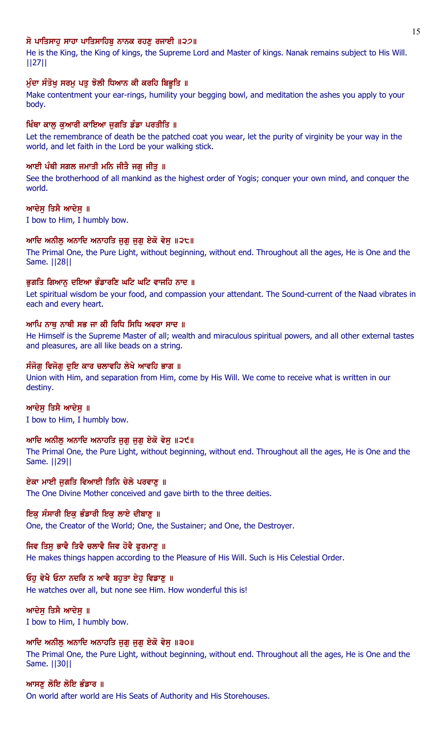# ਸੋ ਪਾਤਿਸਾਹ ਸਾਹਾ ਪਾਤਿਸਾਹਿਬ ਨਾਨਕ ਰਹਣ ਰਜਾਈ ॥੨੭॥

He is the King, the King of kings, the Supreme Lord and Master of kings. Nanak remains subject to His Will. ||27||

# ਮੁੰਦਾ ਸੰਤੋਖ਼ ਸਰਮੂ ਪਤੂ ਝੋਲੀ ਧਿਆਨ ਕੀ ਕਰਹਿ ਬਿਭੂਤਿ ॥

Make contentment your ear-rings, humility your begging bowl, and meditation the ashes you apply to your body.

# ਖਿੰਥਾ ਕਾਲੂ ਕੁਆਰੀ ਕਾਇਆ ਜੁਗਤਿ ਡੰਡਾ ਪਰਤੀਤਿ ॥

Let the remembrance of death be the patched coat you wear, let the purity of virginity be your way in the world, and let faith in the Lord be your walking stick.

# ਆਈ ਪੰਥੀ ਸਗਲ ਜਮਾਤੀ ਮਨਿ ਜੀਤੈ ਜਗ ਜੀਤ ॥

See the brotherhood of all mankind as the highest order of Yogis; conquer your own mind, and conquer the world.

# ਆਦੇਸ ਤਿਸੈ ਆਦੇਸ ॥

I bow to Him, I humbly bow.

# ਆਦਿ ਅਨੀਲ ਅਨਾਦਿ ਅਨਾਹਤਿ ਜਗ ਜਗ ਏਕੋ ਵੇਸ ॥੨੮॥

The Primal One, the Pure Light, without beginning, without end. Throughout all the ages, He is One and the Same. ||28||

# ਭਗਤਿ ਗਿਆਨ ਦਇਆ ਭੰਡਾਰਣਿ ਘਟਿ ਘਟਿ ਵਾਜਹਿ ਨਾਦ ॥

Let spiritual wisdom be your food, and compassion your attendant. The Sound-current of the Naad vibrates in each and every heart.

# ਆਪਿ ਨਾਥ ਨਾਥੀ ਸਭ ਜਾ ਕੀ ਰਿਧਿ ਸਿਧਿ ਅਵਰਾ ਸਾਦ ॥

He Himself is the Supreme Master of all; wealth and miraculous spiritual powers, and all other external tastes and pleasures, are all like beads on a string.

# ਸੰਜੋਗ ਵਿਜੋਗ ਦਇ ਕਾਰ ਚਲਾਵਹਿ ਲੇਖੇ ਆਵਹਿ ਭਾਗ ॥

Union with Him, and separation from Him, come by His Will. We come to receive what is written in our destiny.

# ਆਦੇਸ ਤਿਸੈ ਆਦੇਸ ॥

I bow to Him, I humbly bow.

# ਆਦਿ ਅਨੀਲ ਅਨਾਦਿ ਅਨਾਹਤਿ ਜਗ ਜਗ ਏਕੋ ਵੇਸ ॥੨੯॥

The Primal One, the Pure Light, without beginning, without end. Throughout all the ages, He is One and the Same. ||29||

# ਏਕਾ ਮਾਈ ਜੁਗਤਿ ਵਿਆਈ ਤਿਨਿ ਚੇਲੇ ਪਰਵਾਣੂ ॥

The One Divine Mother conceived and gave birth to the three deities.

# ਇਕ ਸੰਸਾਰੀ ਇਕੁ ਭੰਡਾਰੀ ਇਕੁ ਲਾਏ ਦੀਬਾਣੁ ॥

One, the Creator of the World; One, the Sustainer; and One, the Destroyer.

# ਜਿਵ ਤਿਸ ਭਾਵੈ ਤਿਵੈ ਚਲਾਵੈ ਜਿਵ ਹੋਵੈ ਫਰਮਾਣ ॥

He makes things happen according to the Pleasure of His Will. Such is His Celestial Order.

# ਓਹੁ ਵੇਖੈ ਓਨਾ ਨਦਰਿ ਨ ਆਵੈ ਬਹੁਤਾ ਏਹੁ ਵਿਡਾਣੂ ॥

He watches over all, but none see Him. How wonderful this is!

# ਆਦੇਸੁ ਤਿਸੈ ਆਦੇਸੁ ॥

I bow to Him, I humbly bow.

# ਆਦਿ ਅਨੀਲ ਅਨਾਦਿ ਅਨਾਹਤਿ ਜਗ ਜਗ ਏਕੋ ਵੇਸ ॥੩੦॥

The Primal One, the Pure Light, without beginning, without end. Throughout all the ages, He is One and the Same. ||30||

# ਆਸਣ ਲੋਇ ਲੌਇ ਭੰਡਾਰ ॥ On world after world are His Seats of Authority and His Storehouses.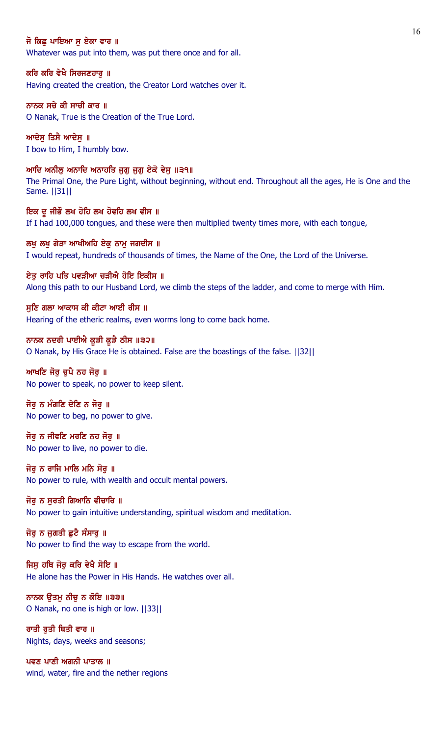### ਜੋ ਕਿਛ ਪਾਇਆ ਸ ਏਕਾ ਵਾਰ ॥

Whatever was put into them, was put there once and for all.

#### ਕਰਿ ਕਰਿ ਵੇਖੈ ਸਿਰਜਣਹਾਰੁ ॥

Having created the creation, the Creator Lord watches over it.

## ਨਾਨਕ ਸਚੇ ਕੀ ਸਾਚੀ ਕਾਰ ॥

O Nanak, True is the Creation of the True Lord.

ਆਦੇਸ ਤਿਸੈ ਆਦੇਸ ॥ I bow to Him, I humbly bow.

## ਆਦਿ ਅਨੀਲੂ ਅਨਾਦਿ ਅਨਾਹਤਿ ਜੁਗੂ ਜੁਗੂ ਏਕੋ ਵੇਸੁ ॥੩੧॥

The Primal One, the Pure Light, without beginning, without end. Throughout all the ages, He is One and the Same. ||31||

ਇਕ ਦੂ ਜੀਭੌ ਲਖ ਹੋਹਿ ਲਖ ਹੋਵਹਿ ਲਖ ਵੀਸ ॥ If I had 100,000 tongues, and these were then multiplied twenty times more, with each tongue,

ਲਖੂ ਲਖੂ ਗੇੜਾ ਆਖੀਅਹਿ ਏਕੁ ਨਾਮੂ ਜਗਦੀਸ ॥ I would repeat, hundreds of thousands of times, the Name of the One, the Lord of the Universe.

ਏਤ ਰਾਹਿ ਪਤਿ ਪਵੜੀਆ ਚੜੀਐ ਹੋਇ ਇਕੀਸ ॥ Along this path to our Husband Lord, we climb the steps of the ladder, and come to merge with Him.

### ਸੁਣਿ ਗਲਾ ਆਕਾਸ ਕੀ ਕੀਟਾ ਆਈ ਰੀਸ ॥ Hearing of the etheric realms, even worms long to come back home.

ਨਾਨਕ ਨਦਰੀ ਪਾਈਐ ਕੁੜੀ ਕੁੜੈ ਠੀਸ ॥੩੨॥ O Nanak, by His Grace He is obtained. False are the boastings of the false. ||32||

### ਆਖਣਿ ਜੋਰ ਚਪੈ ਨਹ ਜੋਰ ॥ No power to speak, no power to keep silent.

ਜੋਰ ਨ ਮੰਗਣਿ ਦੇਣਿ ਨ ਜੋਰ ॥ No power to beg, no power to give.

## ਜੋਰੂ ਨ ਜੀਵਣਿ ਮਰਣਿ ਨਹ ਜੋਰੂ ॥ No power to live, no power to die.

ਜੋਰ ਨ ਰਾਜਿ ਮਾਲਿ ਮਨਿ ਸੋਰ ॥ No power to rule, with wealth and occult mental powers.

# ਜੋਰ ਨ ਸਰਤੀ ਗਿਆਨਿ ਵੀਚਾਰਿ ॥

No power to gain intuitive understanding, spiritual wisdom and meditation.

# ਜੋਰੂ ਨ ਜੁਗਤੀ ਛੁਟੈ ਸੰਸਾਰੂ ॥

No power to find the way to escape from the world.

## ਜਿਸ ਹਥਿ ਜੋਰ ਕਰਿ ਵੇਖੈ ਸੋਇ ॥

He alone has the Power in His Hands. He watches over all.

## ਨਾਨਕ ਉਤਮੂ ਨੀਚੂ ਨ ਕੋਇ ॥੩੩॥ O Nanak, no one is high or low. ||33||

ਰਾਤੀ ਰਤੀ ਥਿਤੀ ਵਾਰ ॥ Nights, days, weeks and seasons;

ਪਵਣ ਪਾਣੀ ਅਗਨੀ ਪਾਤਾਲ ॥ wind, water, fire and the nether regions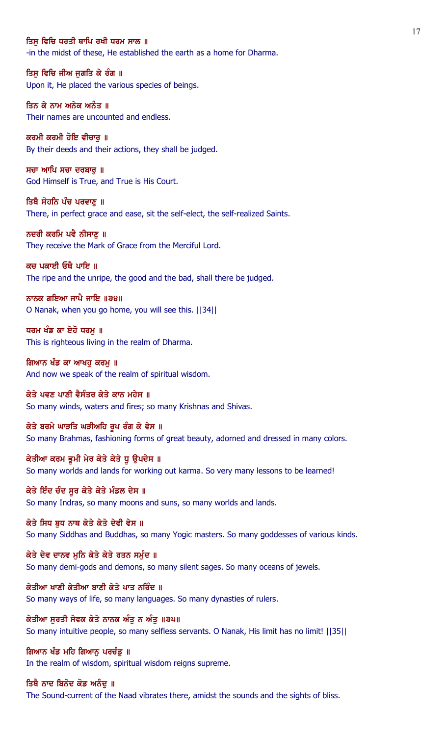### ਤਿਸ ਵਿਚਿ ਧਰਤੀ ਥਾਪਿ ਰਖੀ ਧਰਮ ਸਾਲ ॥

-in the midst of these, He established the earth as a home for Dharma.

ਤਿਸੁ ਵਿਚਿ ਜੀਅ ਜੁਗਤਿ ਕੇ ਰੰਗ ॥ Upon it, He placed the various species of beings.

ਤਿਨ ਕੇ ਨਾਮ ਅਨੇਕ ਅਨੰਤ ॥ Their names are uncounted and endless.

ਕਰਮੀ ਕਰਮੀ ਹੋਇ ਵੀਚਾਰ ॥ By their deeds and their actions, they shall be judged.

ਸਚਾ ਆਪਿ ਸਚਾ ਦਰਬਾਰੁ ॥ God Himself is True, and True is His Court.

ਤਿਥੈ ਸੋਹਨਿ ਪੰਚ ਪਰਵਾਣ ॥ There, in perfect grace and ease, sit the self-elect, the self-realized Saints.

ਨਦਰੀ ਕਰਮਿ ਪਵੈ ਨੀਸਾਣ ॥ They receive the Mark of Grace from the Merciful Lord.

ਕਚ ਪਕਾਈ ਓਥੈ ਪਾਇ ॥ The ripe and the unripe, the good and the bad, shall there be judged.

ਨਾਨਕ ਗਇਆ ਜਾਪੈ ਜਾਇ ॥੩੪॥ O Nanak, when you go home, you will see this. ||34||

ਧਰਮ ਖੰਡ ਕਾ ਏਹੋ ਧਰਮ ॥ This is righteous living in the realm of Dharma.

ਗਿਆਨ ਖੰਡ ਕਾ ਆਖਹੂ ਕਰਮੂ ॥ And now we speak of the realm of spiritual wisdom.

ਕੇਤੇ ਪਵਣ ਪਾਣੀ ਵੈਸੰਤਰ ਕੇਤੇ ਕਾਨ ਮਹੇਸ ॥ So many winds, waters and fires; so many Krishnas and Shivas.

ਕੇਤੇ ਬਰਮੇ ਘਾੜਤਿ ਘੜੀਅਹਿ ਰੂਪ ਰੰਗ ਕੇ ਵੇਸ ॥ So many Brahmas, fashioning forms of great beauty, adorned and dressed in many colors.

ਕੇਤੀਆ ਕਰਮ ਭੂਮੀ ਮੇਰ ਕੇਤੇ ਕੇਤੇ ਧੂ ਉਪਦੇਸ ॥ So many worlds and lands for working out karma. So very many lessons to be learned!

ਕੇਤੇ ਇੰਦ ਚੰਦ ਸਰ ਕੇਤੇ ਕੇਤੇ ਮੰਡਲ ਦੇਸ ॥ So many Indras, so many moons and suns, so many worlds and lands.

ਕੇਤੇ ਸਿਧ ਬਧ ਨਾਥ ਕੇਤੇ ਕੇਤੇ ਦੇਵੀ ਵੇਸ ॥ So many Siddhas and Buddhas, so many Yogic masters. So many goddesses of various kinds.

ਕੇਤੇ ਦੇਵ ਦਾਨਵ ਮੁਨਿ ਕੇਤੇ ਕੇਤੇ ਰਤਨ ਸਮੁੰਦ ॥ So many demi-gods and demons, so many silent sages. So many oceans of jewels.

ਕੇਤੀਆ ਖਾਣੀ ਕੇਤੀਆ ਬਾਣੀ ਕੇਤੇ ਪਾਤ ਨਰਿੰਦ ॥ So many ways of life, so many languages. So many dynasties of rulers.

ਕੇਤੀਆ ਸੁਰਤੀ ਸੇਵਕ ਕੇਤੇ ਨਾਨਕ ਅੰਤੁ ਨ ਅੰਤੁ ॥੩੫॥ So many intuitive people, so many selfless servants. O Nanak, His limit has no limit! ||35||

ਗਿਆਨ ਖੰਡ ਮਹਿ ਗਿਆਨੂ ਪਰਚੰਡੂ ॥ In the realm of wisdom, spiritual wisdom reigns supreme.

ਤਿਥੈ ਨਾਦ ਬਿਨੋਦ ਕੋਡ ਅਨੰਦੂ ॥ The Sound-current of the Naad vibrates there, amidst the sounds and the sights of bliss.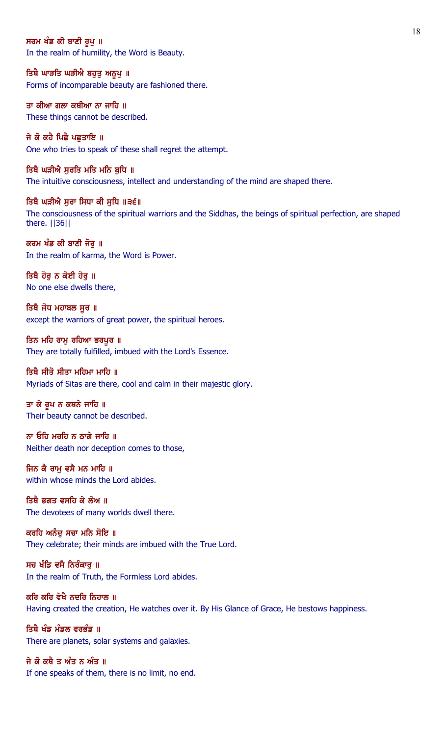### ਸਰਮ ਖੰਡ ਕੀ ਬਾਣੀ ਰੂਪ ॥

In the realm of humility, the Word is Beauty.

ਤਿਥੈ ਘਾੜਤਿ ਘੜੀਐ ਬਹੁਤੁ ਅਨੂਪੁ ॥ Forms of incomparable beauty are fashioned there.

ਤਾ ਕੀਆ ਗਲਾ ਕਥੀਆ ਨਾ ਜਾਹਿ ॥ These things cannot be described.

ਜੇ ਕੋ ਕਹੈ ਪਿਛੈ ਪਛਤਾਇ ॥ One who tries to speak of these shall regret the attempt.

ਤਿਥੈ ਘੜੀਐ ਸੁਰਤਿ ਮਤਿ ਮਨਿ ਬੁਧਿ ॥ The intuitive consciousness, intellect and understanding of the mind are shaped there.

ਤਿਥੈ ਘੜੀਐ ਸੁਰਾ ਸਿਧਾ ਕੀ ਸੁਧਿ ॥੩੬॥ The consciousness of the spiritual warriors and the Siddhas, the beings of spiritual perfection, are shaped there. ||36||

ਕਰਮ ਖੰਡ ਕੀ ਬਾਣੀ ਜੋਰੁ ॥ In the realm of karma, the Word is Power.

ਤਿਥੈ ਹੋਰੂ ਨ ਕੋਈ ਹੋਰੂ ॥ No one else dwells there,

ਤਿਥੈ ਜੋਧ ਮਹਾਬਲ ਸੂਰ ॥ except the warriors of great power, the spiritual heroes.

ਤਿਨ ਮਹਿ ਰਾਮੁ ਰਹਿਆ ਭਰਪੁਰ ॥ They are totally fulfilled, imbued with the Lord's Essence.

# ਤਿਥੈ ਸੀਤੋ ਸੀਤਾ ਮਹਿਮਾ ਮਾਹਿ ॥

Myriads of Sitas are there, cool and calm in their majestic glory.

ਤਾ ਕੇ ਰੂਪ ਨ ਕਥਨੇ ਜਾਹਿ ॥ Their beauty cannot be described.

ਨਾ ਓਹਿ ਮਰਹਿ ਨ ਠਾਗੇ ਜਾਹਿ ॥ Neither death nor deception comes to those,

ਜਿਨ ਕੈ ਰਾਮ ਵਸੈ ਮਨ ਮਾਹਿ ॥ within whose minds the Lord abides.

ਤਿਥੈ ਭਗਤ ਵਸਹਿ ਕੇ ਲੋਅ ॥ The devotees of many worlds dwell there.

ਕਰਹਿ ਅਨੰਦੂ ਸਚਾ ਮਨਿ ਸੋਇ ॥ They celebrate; their minds are imbued with the True Lord.

ਸਚ ਖੰਡਿ ਵਸੈ ਨਿਰੰਕਾਰ ॥ In the realm of Truth, the Formless Lord abides.

ਕਰਿ ਕਰਿ ਵੇਖੈ ਨਦਰਿ ਨਿਹਾਲ ॥ Having created the creation, He watches over it. By His Glance of Grace, He bestows happiness.

ਤਿਥੈ ਖੰਡ ਮੰਡਲ ਵਰਭੰਡ ॥ There are planets, solar systems and galaxies.

ਜੇ ਕੋ ਕਥੈ ਤ ਅੰਤ ਨ ਅੰਤ ॥ If one speaks of them, there is no limit, no end.